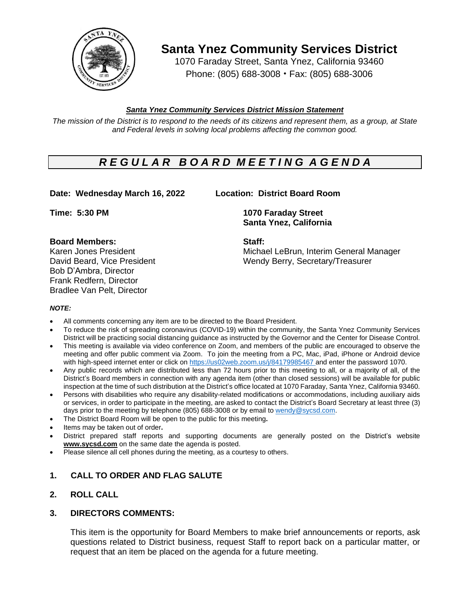

**Santa Ynez Community Services District**

1070 Faraday Street, Santa Ynez, California 93460 Phone: (805) 688-3008 • Fax: (805) 688-3006

## *Santa Ynez Community Services District Mission Statement*

The mission of the District is to respond to the needs of its citizens and represent them, as a group, at State *and Federal levels in solving local problems affecting the common good.*

# *R E G U L A R B O A R D M E E T I N G A G E N D A*

## **Date: Wednesday March 16, 2022 Location: District Board Room**

### **Board Members: Staff:**

Bob D'Ambra, Director Frank Redfern, Director Bradlee Van Pelt, Director

**Time: 5:30 PM 1070 Faraday Street Santa Ynez, California**

Karen Jones President Michael LeBrun, Interim General Manager David Beard, Vice President Wendy Berry, Secretary/Treasurer

### *NOTE:*

- All comments concerning any item are to be directed to the Board President.
- To reduce the risk of spreading coronavirus (COVID-19) within the community, the Santa Ynez Community Services District will be practicing social distancing guidance as instructed by the Governor and the Center for Disease Control.
- This meeting is available via video conference on Zoom, and members of the public are encouraged to observe the meeting and offer public comment via Zoom. To join the meeting from a PC, Mac, iPad, iPhone or Android device with high-speed internet enter or click on [https://us02web.zoom.us/j/8](https://us02web.zoom.us/j/)4179985467 and enter the password 1070.
- Any public records which are distributed less than 72 hours prior to this meeting to all, or a majority of all, of the District's Board members in connection with any agenda item (other than closed sessions) will be available for public inspection at the time of such distribution at the District's office located at 1070 Faraday, Santa Ynez, California 93460.
- Persons with disabilities who require any disability-related modifications or accommodations, including auxiliary aids or services, in order to participate in the meeting, are asked to contact the District's Board Secretary at least three (3) days prior to the meeting by telephone (805) 688-3008 or by email to [wendy@sycsd.com.](mailto:wendy@sycsd.com)
- The District Board Room will be open to the public for this meeting**.**
- Items may be taken out of order**.**
- District prepared staff reports and supporting documents are generally posted on the District's website **[www.sycsd.com](http://www.sycsd.com/)** on the same date the agenda is posted.
- Please silence all cell phones during the meeting, as a courtesy to others.

## **1. CALL TO ORDER AND FLAG SALUTE**

## **2. ROLL CALL**

### **3. DIRECTORS COMMENTS:**

This item is the opportunity for Board Members to make brief announcements or reports, ask questions related to District business, request Staff to report back on a particular matter, or request that an item be placed on the agenda for a future meeting.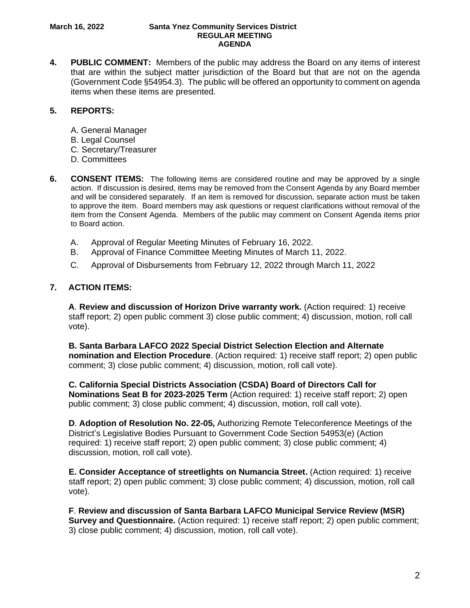#### **March 16, 2022 Santa Ynez Community Services District REGULAR MEETING AGENDA**

**4. PUBLIC COMMENT:** Members of the public may address the Board on any items of interest that are within the subject matter jurisdiction of the Board but that are not on the agenda (Government Code §54954.3). The public will be offered an opportunity to comment on agenda items when these items are presented.

## **5. REPORTS:**

- A. General Manager
- B. Legal Counsel
- C. Secretary/Treasurer
- D. Committees
- **6. CONSENT ITEMS:** The following items are considered routine and may be approved by a single action. If discussion is desired, items may be removed from the Consent Agenda by any Board member and will be considered separately. If an item is removed for discussion, separate action must be taken to approve the item. Board members may ask questions or request clarifications without removal of the item from the Consent Agenda. Members of the public may comment on Consent Agenda items prior to Board action.
	- A. Approval of Regular Meeting Minutes of February 16, 2022.
	- B. Approval of Finance Committee Meeting Minutes of March 11, 2022.
	- C. Approval of Disbursements from February 12, 2022 through March 11, 2022

## **7. ACTION ITEMS:**

 **A**. **Review and discussion of Horizon Drive warranty work.** (Action required: 1) receive staff report; 2) open public comment 3) close public comment; 4) discussion, motion, roll call vote).

 **B. Santa Barbara LAFCO 2022 Special District Selection Election and Alternate nomination and Election Procedure**. (Action required: 1) receive staff report; 2) open public comment; 3) close public comment; 4) discussion, motion, roll call vote).

 **C. California Special Districts Association (CSDA) Board of Directors Call for Nominations Seat B for 2023-2025 Term** (Action required: 1) receive staff report; 2) open public comment; 3) close public comment; 4) discussion, motion, roll call vote).

 **D**. **Adoption of Resolution No. 22-05,** Authorizing Remote Teleconference Meetings of the District's Legislative Bodies Pursuant to Government Code Section 54953(e) (Action required: 1) receive staff report; 2) open public comment; 3) close public comment; 4) discussion, motion, roll call vote).

**E. Consider Acceptance of streetlights on Numancia Street.** (Action required: 1) receive staff report; 2) open public comment; 3) close public comment; 4) discussion, motion, roll call vote).

 **F**. **Review and discussion of Santa Barbara LAFCO Municipal Service Review (MSR) Survey and Questionnaire.** (Action required: 1) receive staff report; 2) open public comment; 3) close public comment; 4) discussion, motion, roll call vote).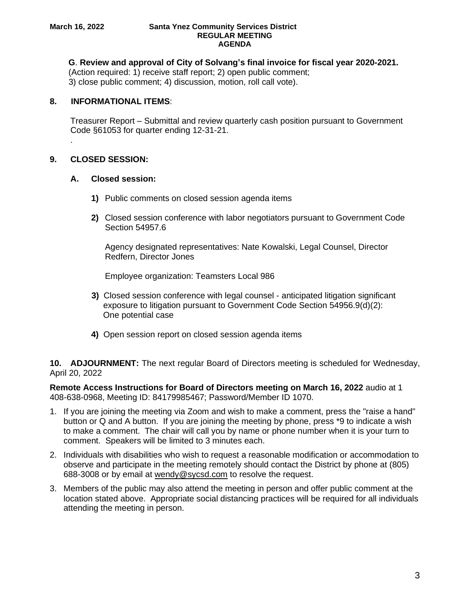#### **March 16, 2022 Santa Ynez Community Services District REGULAR MEETING AGENDA**

 **G**. **Review and approval of City of Solvang's final invoice for fiscal year 2020-2021.**

(Action required: 1) receive staff report; 2) open public comment; 3) close public comment; 4) discussion, motion, roll call vote).

## **8. INFORMATIONAL ITEMS**:

Treasurer Report – Submittal and review quarterly cash position pursuant to Government Code §61053 for quarter ending 12-31-21. .

## **9. CLOSED SESSION:**

## **A. Closed session:**

- **1)** Public comments on closed session agenda items
- **2)** Closed session conference with labor negotiators pursuant to Government Code Section 54957.6

Agency designated representatives: Nate Kowalski, Legal Counsel, Director Redfern, Director Jones

Employee organization: Teamsters Local 986

- **3)** Closed session conference with legal counsel anticipated litigation significant exposure to litigation pursuant to Government Code Section 54956.9(d)(2): One potential case
- **4)** Open session report on closed session agenda items

**10. ADJOURNMENT:** The next regular Board of Directors meeting is scheduled for Wednesday, April 20, 2022

**Remote Access Instructions for Board of Directors meeting on March 16, 2022** audio at 1 408-638-0968, Meeting ID: 84179985467; Password/Member ID 1070.

- 1. If you are joining the meeting via Zoom and wish to make a comment, press the "raise a hand" button or Q and A button. If you are joining the meeting by phone, press \*9 to indicate a wish to make a comment. The chair will call you by name or phone number when it is your turn to comment. Speakers will be limited to 3 minutes each.
- 2. Individuals with disabilities who wish to request a reasonable modification or accommodation to observe and participate in the meeting remotely should contact the District by phone at (805) 688-3008 or by email at [wendy@sycsd.com](mailto:wendy@sycsd.com) to resolve the request.
- 3. Members of the public may also attend the meeting in person and offer public comment at the location stated above. Appropriate social distancing practices will be required for all individuals attending the meeting in person.